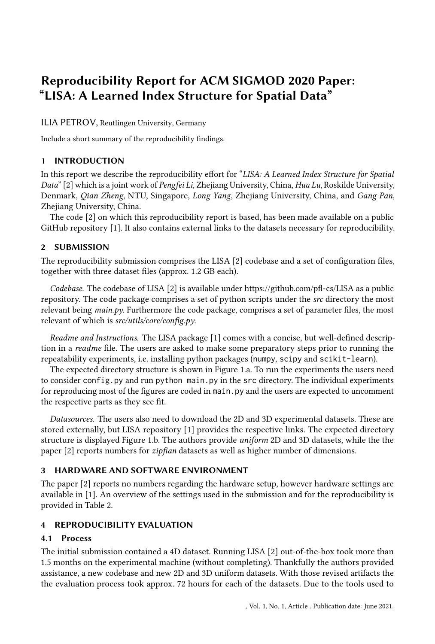# Reproducibility Report for ACM SIGMOD 2020 Paper: "LISA: A Learned Index Structure for Spatial Data"

ILIA PETROV, Reutlingen University, Germany

Include a short summary of the reproducibility findings.

## 1 INTRODUCTION

In this report we describe the reproducibility effort for "LISA: A Learned Index Structure for Spatial Data" [\[2\]](#page-1-0) which is a joint work of Pengfei Li, Zhejiang University, China, Hua Lu, Roskilde University, Denmark, Qian Zheng, NTU, Singapore, Long Yang, Zhejiang University, China, and Gang Pan, Zhejiang University, China.

The code [\[2\]](#page-1-0) on which this reproducibility report is based, has been made available on a public GitHub repository [\[1\]](#page-1-1). It also contains external links to the datasets necessary for reproducibility.

#### 2 SUBMISSION

The reproducibility submission comprises the LISA [\[2\]](#page-1-0) codebase and a set of configuration files, together with three dataset files (approx. 1.2 GB each).

Codebase. The codebase of LISA [\[2\]](#page-1-0) is available under<https://github.com/pfl-cs/LISA> as a public repository. The code package comprises a set of python scripts under the src directory the most relevant being  $main.py$ . Furthermore the code package, comprises a set of parameter files, the most relevant of which is src/utils/core/config.py.

Readme and Instructions. The LISA package [\[1\]](#page-1-1) comes with a concise, but well-defined description in a readme file. The users are asked to make some preparatory steps prior to running the repeatability experiments, i.e. installing python packages (numpy, scipy and scikit-learn).

The expected directory structure is shown in Figure [1.](#page-1-2)a. To run the experiments the users need to consider config.py and run python main.py in the src directory. The individual experiments for reproducing most of the figures are coded in main.py and the users are expected to uncomment the respective parts as they see fit.

Datasources. The users also need to download the 2D and 3D experimental datasets. These are stored externally, but LISA repository [\[1\]](#page-1-1) provides the respective links. The expected directory structure is displayed Figure [1.](#page-1-2)b. The authors provide uniform 2D and 3D datasets, while the the paper [\[2\]](#page-1-0) reports numbers for zipfian datasets as well as higher number of dimensions.

## 3 HARDWARE AND SOFTWARE ENVIRONMENT

The paper [\[2\]](#page-1-0) reports no numbers regarding the hardware setup, however hardware settings are available in [\[1\]](#page-1-1). An overview of the settings used in the submission and for the reproducibility is provided in Table [2.](#page-1-3)

## 4 REPRODUCIBILITY EVALUATION

## 4.1 Process

The initial submission contained a 4D dataset. Running LISA [\[2\]](#page-1-0) out-of-the-box took more than 1.5 months on the experimental machine (without completing). Thankfully the authors provided assistance, a new codebase and new 2D and 3D uniform datasets. With those revised artifacts the the evaluation process took approx. 72 hours for each of the datasets. Due to the tools used to